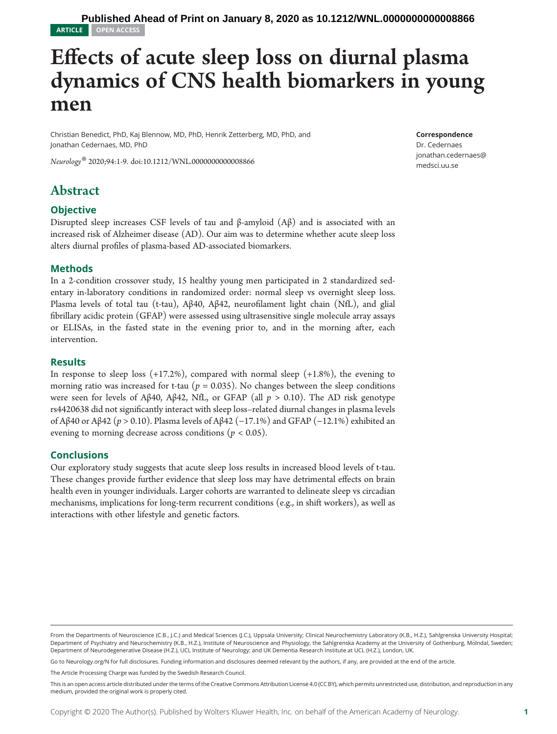# Effects of acute sleep loss on diurnal plasma dynamics of CNS health biomarkers in young men

Christian Benedict, PhD, Kaj Blennow, MD, PhD, Henrik Zetterberg, MD, PhD, and Jonathan Cedernaes, MD, PhD

Neurology® 2020;94:1-9. doi[:10.1212/WNL.0000000000008866](http://dx.doi.org/10.1212/WNL.0000000000008866)

# Abstract

#### **Objective**

Disrupted sleep increases CSF levels of tau and β-amyloid  $(Aβ)$  and is associated with an increased risk of Alzheimer disease (AD). Our aim was to determine whether acute sleep loss alters diurnal profiles of plasma-based AD-associated biomarkers.

#### Methods

In a 2-condition crossover study, 15 healthy young men participated in 2 standardized sedentary in-laboratory conditions in randomized order: normal sleep vs overnight sleep loss. Plasma levels of total tau (t-tau), Aβ40, Aβ42, neurofilament light chain (NfL), and glial fibrillary acidic protein (GFAP) were assessed using ultrasensitive single molecule array assays or ELISAs, in the fasted state in the evening prior to, and in the morning after, each intervention.

#### **Results**

In response to sleep loss  $(+17.2%)$ , compared with normal sleep  $(+1.8%)$ , the evening to morning ratio was increased for t-tau ( $p = 0.035$ ). No changes between the sleep conditions were seen for levels of Aβ40, Aβ42, NfL, or GFAP (all  $p > 0.10$ ). The AD risk genotype rs4420638 did not significantly interact with sleep loss–related diurnal changes in plasma levels of Aβ40 or Aβ42 ( $p > 0.10$ ). Plasma levels of Aβ42 (−17.1%) and GFAP (−12.1%) exhibited an evening to morning decrease across conditions ( $p < 0.05$ ).

#### **Conclusions**

Our exploratory study suggests that acute sleep loss results in increased blood levels of t-tau. These changes provide further evidence that sleep loss may have detrimental effects on brain health even in younger individuals. Larger cohorts are warranted to delineate sleep vs circadian mechanisms, implications for long-term recurrent conditions (e.g., in shift workers), as well as interactions with other lifestyle and genetic factors.

Go to [Neurology.org/N](https://n.neurology.org/lookup/doi/10.1212/WNL.0000000000008866) for full disclosures. Funding information and disclosures deemed relevant by the authors, if any, are provided at the end of the article.

The Article Processing Charge was funded by the Swedish Research Council.

Correspondence

Dr. Cedernaes [jonathan.cedernaes@](mailto:jonathan.cedernaes@medsci.uu.se) [medsci.uu.se](mailto:jonathan.cedernaes@medsci.uu.se)

From the Departments of Neuroscience (C.B., J.C.) and Medical Sciences (J.C.), Uppsala University; Clinical Neurochemistry Laboratory (K.B., H.Z.), Sahlgrenska University Hospital; Department of Psychiatry and Neurochemistry (K.B., H.Z.), Institute of Neuroscience and Physiology, the Sahlgrenska Academy at the University of Gothenburg, Molndal, Sweden; ¨ Department of Neurodegenerative Disease (H.Z.), UCL Institute of Neurology; and UK Dementia Research Institute at UCL (H.Z.), London, UK.

This is an open access article distributed under the terms of the [Creative Commons Attribution License 4.0 \(CC BY\),](http://creativecommons.org/licenses/by/4.0/) which permits unrestricted use, distribution, and reproduction in any medium, provided the original work is properly cited.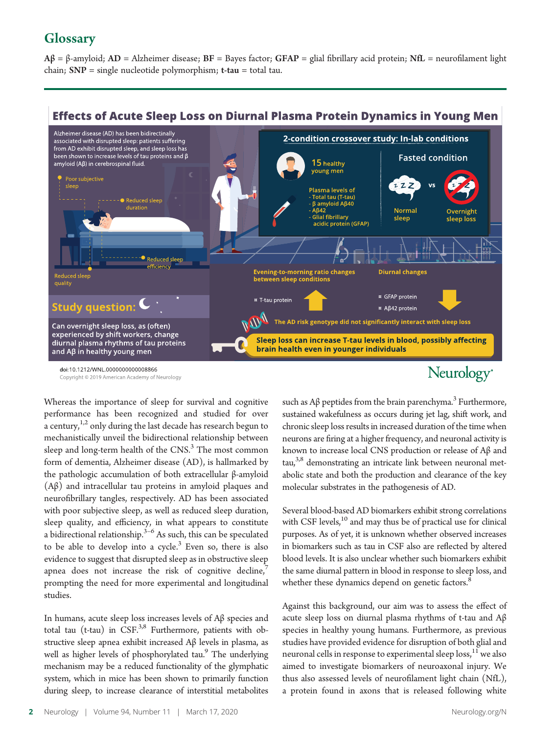# **Glossary**

 $A\beta = \beta$ -amyloid;  $AD =$  Alzheimer disease;  $BF =$  Bayes factor;  $GFAP =$  glial fibrillary acid protein;  $NfL =$  neurofilament light chain;  $SNP =$  single nucleotide polymorphism;  $t$ -tau = total tau.

## **Effects of Acute Sleep Loss on Diurnal Plasma Protein Dynamics in Young Men**



Copyright © 2019 American Academy of Neurology

Neurology<sup>®</sup>

Whereas the importance of sleep for survival and cognitive performance has been recognized and studied for over a century,<sup>1,2</sup> only during the last decade has research begun to mechanistically unveil the bidirectional relationship between sleep and long-term health of the  $CNS$ .<sup>3</sup> The most common form of dementia, Alzheimer disease (AD), is hallmarked by the pathologic accumulation of both extracellular β-amyloid (Aβ) and intracellular tau proteins in amyloid plaques and neurofibrillary tangles, respectively. AD has been associated with poor subjective sleep, as well as reduced sleep duration, sleep quality, and efficiency, in what appears to constitute a bidirectional relationship.<sup>3–6</sup> As such, this can be speculated to be able to develop into a cycle. $3$  Even so, there is also evidence to suggest that disrupted sleep as in obstructive sleep apnea does not increase the risk of cognitive decline, $\overline{7}$ prompting the need for more experimental and longitudinal studies.

In humans, acute sleep loss increases levels of Aβ species and total tau (t-tau) in  $CSF^{3,8}$  Furthermore, patients with obstructive sleep apnea exhibit increased Aβ levels in plasma, as well as higher levels of phosphorylated tau.<sup>9</sup> The underlying mechanism may be a reduced functionality of the glymphatic system, which in mice has been shown to primarily function during sleep, to increase clearance of interstitial metabolites

such as  $A\beta$  peptides from the brain parenchyma.<sup>3</sup> Furthermore, sustained wakefulness as occurs during jet lag, shift work, and chronic sleep loss results in increased duration of the time when neurons are firing at a higher frequency, and neuronal activity is known to increase local CNS production or release of Aβ and  $tau<sub>3,8</sub>$  demonstrating an intricate link between neuronal metabolic state and both the production and clearance of the key molecular substrates in the pathogenesis of AD.

Several blood-based AD biomarkers exhibit strong correlations with CSF levels, $^{10}$  and may thus be of practical use for clinical purposes. As of yet, it is unknown whether observed increases in biomarkers such as tau in CSF also are reflected by altered blood levels. It is also unclear whether such biomarkers exhibit the same diurnal pattern in blood in response to sleep loss, and whether these dynamics depend on genetic factors.<sup>8</sup>

Against this background, our aim was to assess the effect of acute sleep loss on diurnal plasma rhythms of t-tau and Aβ species in healthy young humans. Furthermore, as previous studies have provided evidence for disruption of both glial and neuronal cells in response to experimental sleep  $loss<sub>11</sub>$  we also aimed to investigate biomarkers of neuroaxonal injury. We thus also assessed levels of neurofilament light chain (NfL), a protein found in axons that is released following white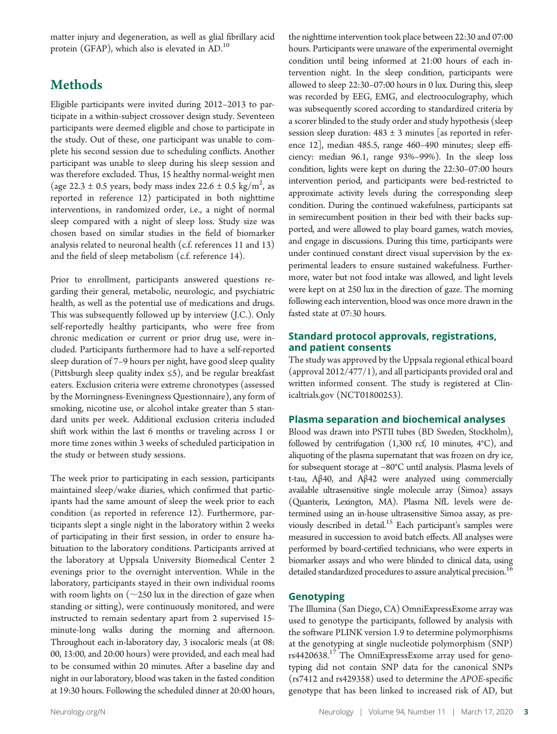matter injury and degeneration, as well as glial fibrillary acid protein (GFAP), which also is elevated in AD.<sup>10</sup>

# Methods

Eligible participants were invited during 2012–2013 to participate in a within-subject crossover design study. Seventeen participants were deemed eligible and chose to participate in the study. Out of these, one participant was unable to complete his second session due to scheduling conflicts. Another participant was unable to sleep during his sleep session and was therefore excluded. Thus, 15 healthy normal-weight men (age 22.3  $\pm$  0.5 years, body mass index 22.6  $\pm$  0.5 kg/m<sup>2</sup>, as reported in reference 12) participated in both nighttime interventions, in randomized order, i.e., a night of normal sleep compared with a night of sleep loss. Study size was chosen based on similar studies in the field of biomarker analysis related to neuronal health (c.f. references 11 and 13) and the field of sleep metabolism (c.f. reference 14).

Prior to enrollment, participants answered questions regarding their general, metabolic, neurologic, and psychiatric health, as well as the potential use of medications and drugs. This was subsequently followed up by interview (J.C.). Only self-reportedly healthy participants, who were free from chronic medication or current or prior drug use, were included. Participants furthermore had to have a self-reported sleep duration of 7–9 hours per night, have good sleep quality (Pittsburgh sleep quality index  $\leq$ 5), and be regular breakfast eaters. Exclusion criteria were extreme chronotypes (assessed by the Morningness-Eveningness Questionnaire), any form of smoking, nicotine use, or alcohol intake greater than 5 standard units per week. Additional exclusion criteria included shift work within the last 6 months or traveling across 1 or more time zones within 3 weeks of scheduled participation in the study or between study sessions.

The week prior to participating in each session, participants maintained sleep/wake diaries, which confirmed that participants had the same amount of sleep the week prior to each condition (as reported in reference 12). Furthermore, participants slept a single night in the laboratory within 2 weeks of participating in their first session, in order to ensure habituation to the laboratory conditions. Participants arrived at the laboratory at Uppsala University Biomedical Center 2 evenings prior to the overnight intervention. While in the laboratory, participants stayed in their own individual rooms with room lights on  $($   $\sim$  250 lux in the direction of gaze when standing or sitting), were continuously monitored, and were instructed to remain sedentary apart from 2 supervised 15 minute-long walks during the morning and afternoon. Throughout each in-laboratory day, 3 isocaloric meals (at 08: 00, 13:00, and 20:00 hours) were provided, and each meal had to be consumed within 20 minutes. After a baseline day and night in our laboratory, blood was taken in the fasted condition at 19:30 hours. Following the scheduled dinner at 20:00 hours,

the nighttime intervention took place between 22:30 and 07:00 hours. Participants were unaware of the experimental overnight condition until being informed at 21:00 hours of each intervention night. In the sleep condition, participants were allowed to sleep 22:30–07:00 hours in 0 lux. During this, sleep was recorded by EEG, EMG, and electrooculography, which was subsequently scored according to standardized criteria by a scorer blinded to the study order and study hypothesis (sleep session sleep duration:  $483 \pm 3$  minutes [as reported in reference 12], median 485.5, range 460–490 minutes; sleep efficiency: median 96.1, range 93%–99%). In the sleep loss condition, lights were kept on during the 22:30–07:00 hours intervention period, and participants were bed-restricted to approximate activity levels during the corresponding sleep condition. During the continued wakefulness, participants sat in semirecumbent position in their bed with their backs supported, and were allowed to play board games, watch movies, and engage in discussions. During this time, participants were under continued constant direct visual supervision by the experimental leaders to ensure sustained wakefulness. Furthermore, water but not food intake was allowed, and light levels were kept on at 250 lux in the direction of gaze. The morning following each intervention, blood was once more drawn in the fasted state at 07:30 hours.

#### Standard protocol approvals, registrations, and patient consents

The study was approved by the Uppsala regional ethical board (approval 2012/477/1), and all participants provided oral and written informed consent. The study is registered at [Clin](http://Clinicaltrials.gov)[icaltrials.gov](http://Clinicaltrials.gov) (NCT01800253).

#### Plasma separation and biochemical analyses

Blood was drawn into PSTII tubes (BD Sweden, Stockholm), followed by centrifugation  $(1,300 \text{ rcf}, 10 \text{ minutes}, 4^{\circ}\text{C})$ , and aliquoting of the plasma supernatant that was frozen on dry ice, for subsequent storage at −80°C until analysis. Plasma levels of t-tau, Aβ40, and Aβ42 were analyzed using commercially available ultrasensitive single molecule array (Simoa) assays (Quanterix, Lexington, MA). Plasma NfL levels were determined using an in-house ultrasensitive Simoa assay, as previously described in detail.<sup>15</sup> Each participant's samples were measured in succession to avoid batch effects. All analyses were performed by board-certified technicians, who were experts in biomarker assays and who were blinded to clinical data, using detailed standardized procedures to assure analytical precision.<sup>16</sup>

#### Genotyping

The Illumina (San Diego, CA) OmniExpressExome array was used to genotype the participants, followed by analysis with the software PLINK version 1.9 to determine polymorphisms at the genotyping at single nucleotide polymorphism (SNP) rs4420638.<sup>17</sup> The OmniExpressExome array used for genotyping did not contain SNP data for the canonical SNPs (rs7412 and rs429358) used to determine the APOE-specifi<sup>c</sup> genotype that has been linked to increased risk of AD, but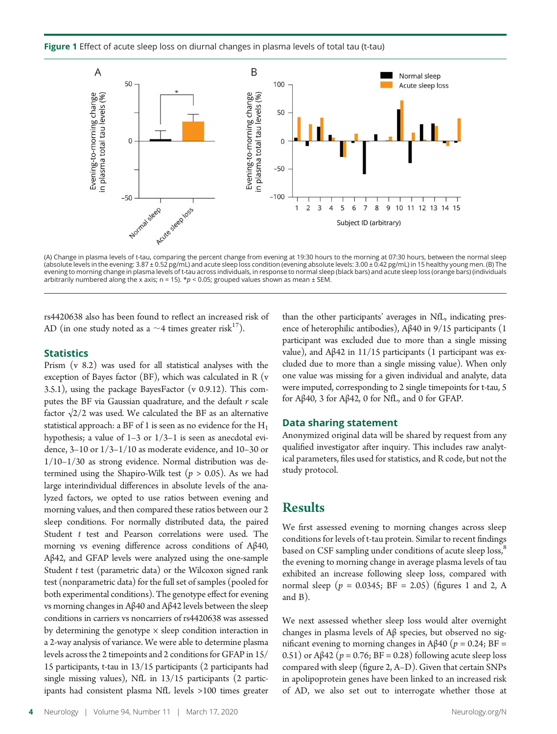Figure 1 Effect of acute sleep loss on diurnal changes in plasma levels of total tau (t-tau)



(A) Change in plasma levels of t-tau, comparing the percent change from evening at 19:30 hours to the morning at 07:30 hours, between the normal sleep (absolute levels in the evening: 3.87 ± 0.52 pg/mL) and acute sleep loss condition (evening absolute levels: 3.00 ± 0.42 pg/mL) in 15 healthy young men. (B) The evening to morning change in plasma levels of t-tau across individuals, in response to normal sleep (black bars) and acute sleep loss (orange bars) (individuals arbitrarily numbered along the x axis; n = 15).  $*p < 0.05$ ; grouped values shown as mean  $\pm$  SEM.

rs4420638 also has been found to reflect an increased risk of AD (in one study noted as a  $\sim$  4 times greater risk<sup>17</sup>).

#### **Statistics**

Prism (v 8.2) was used for all statistical analyses with the exception of Bayes factor (BF), which was calculated in R (v 3.5.1), using the package BayesFactor (v 0.9.12). This computes the BF via Gaussian quadrature, and the default  $r$  scale factor  $\sqrt{2}/2$  was used. We calculated the BF as an alternative statistical approach: a BF of 1 is seen as no evidence for the  $H_1$ hypothesis; a value of 1-3 or  $1/3-1$  is seen as anecdotal evidence, 3–10 or 1/3–1/10 as moderate evidence, and 10–30 or 1/10–1/30 as strong evidence. Normal distribution was determined using the Shapiro-Wilk test ( $p > 0.05$ ). As we had large interindividual differences in absolute levels of the analyzed factors, we opted to use ratios between evening and morning values, and then compared these ratios between our 2 sleep conditions. For normally distributed data, the paired Student t test and Pearson correlations were used. The morning vs evening difference across conditions of Aβ40, Aβ42, and GFAP levels were analyzed using the one-sample Student  $t$  test (parametric data) or the Wilcoxon signed rank test (nonparametric data) for the full set of samples (pooled for both experimental conditions). The genotype effect for evening vs morning changes in Aβ40 and Aβ42 levels between the sleep conditions in carriers vs noncarriers of rs4420638 was assessed by determining the genotype  $\times$  sleep condition interaction in a 2-way analysis of variance. We were able to determine plasma levels across the 2 timepoints and 2 conditions for GFAP in 15/ 15 participants, t-tau in 13/15 participants (2 participants had single missing values), NfL in 13/15 participants (2 participants had consistent plasma NfL levels >100 times greater

than the other participants' averages in NfL, indicating presence of heterophilic antibodies), Aβ40 in 9/15 participants (1 participant was excluded due to more than a single missing value), and Aβ42 in 11/15 participants (1 participant was excluded due to more than a single missing value). When only one value was missing for a given individual and analyte, data were imputed, corresponding to 2 single timepoints for t-tau, 5 for Aβ40, 3 for Aβ42, 0 for NfL, and 0 for GFAP.

#### Data sharing statement

Anonymized original data will be shared by request from any qualified investigator after inquiry. This includes raw analytical parameters, files used for statistics, and R code, but not the study protocol.

## Results

We first assessed evening to morning changes across sleep conditions for levels of t-tau protein. Similar to recent findings based on CSF sampling under conditions of acute sleep loss,<sup>8</sup> the evening to morning change in average plasma levels of tau exhibited an increase following sleep loss, compared with normal sleep ( $p = 0.0345$ ; BF = 2.05) (figures 1 and 2, A and B).

We next assessed whether sleep loss would alter overnight changes in plasma levels of Aβ species, but observed no significant evening to morning changes in Aβ40 ( $p = 0.24$ ; BF = 0.51) or A $\beta$ 42 ( $p = 0.76$ ; BF = 0.28) following acute sleep loss compared with sleep (figure 2, A–D). Given that certain SNPs in apolipoprotein genes have been linked to an increased risk of AD, we also set out to interrogate whether those at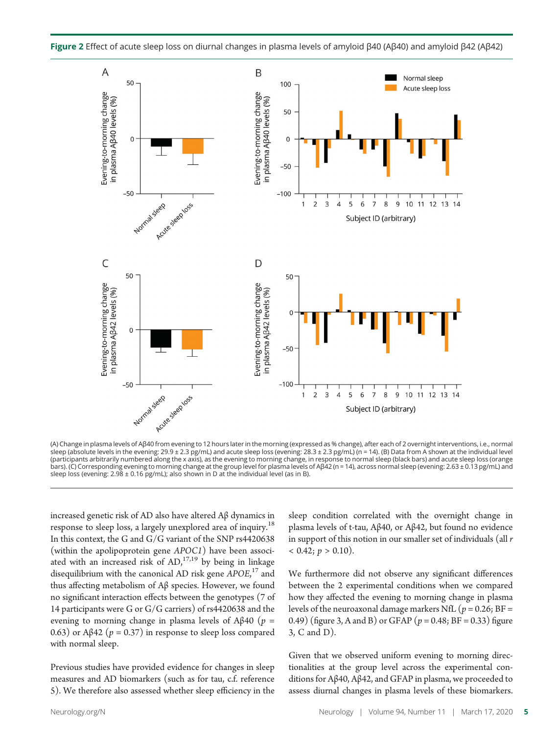Figure 2 Effect of acute sleep loss on diurnal changes in plasma levels of amyloid β40 (Aβ40) and amyloid β42 (Aβ42)



(A) Change in plasma levels of Aβ40 from evening to 12 hours later in the morning (expressed as % change), after each of 2 overnight interventions, i.e., normal sleep (absolute levels in the evening: 29.9 ± 2.3 pg/mL) and acute sleep loss (evening: 28.3 ± 2.3 pg/mL) (n = 14). (B) Data from A shown at the individual level (participants arbitrarily numbered along the x axis), as the evening to morning change, in response to normal sleep (black bars) and acute sleep loss (orange bars). (C) Corresponding evening to morning change at the group level for plasma levels of Αβ42 (n = 14), across normal sleep (evening: 2.63 ± 0.13 pg/mL) and sleep loss (evening: 2.98 ± 0.16 pg/mL); also shown in D at the individual level (as in B).

increased genetic risk of AD also have altered Aβ dynamics in response to sleep loss, a largely unexplored area of inquiry.<sup>18</sup> In this context, the G and G/G variant of the SNP rs4420638 (within the apolipoprotein gene APOC1) have been associated with an increased risk of  $AD$ ,<sup>17,19</sup> by being in linkage disequilibrium with the canonical AD risk gene  $\widehat{APOE}$ ,  $^{17}$  and thus affecting metabolism of AB species. However, we found thus affecting metabolism of Aβ species. However, we found no significant interaction effects between the genotypes (7 of 14 participants were G or G/G carriers) of rs4420638 and the evening to morning change in plasma levels of Aβ40 ( $p =$ 0.63) or A $\beta$ 42 ( $p = 0.37$ ) in response to sleep loss compared with normal sleep.

Previous studies have provided evidence for changes in sleep measures and AD biomarkers (such as for tau, c.f. reference 5). We therefore also assessed whether sleep efficiency in the sleep condition correlated with the overnight change in plasma levels of t-tau, Aβ40, or Aβ42, but found no evidence in support of this notion in our smaller set of individuals (all  $r$  $< 0.42; p > 0.10$ ).

We furthermore did not observe any significant differences between the 2 experimental conditions when we compared how they affected the evening to morning change in plasma levels of the neuroaxonal damage markers NfL ( $p = 0.26$ ; BF = 0.49) (figure 3, A and B) or GFAP ( $p = 0.48$ ; BF = 0.33) figure 3, C and D).

Given that we observed uniform evening to morning directionalities at the group level across the experimental conditions for Aβ40, Aβ42, and GFAP in plasma, we proceeded to assess diurnal changes in plasma levels of these biomarkers.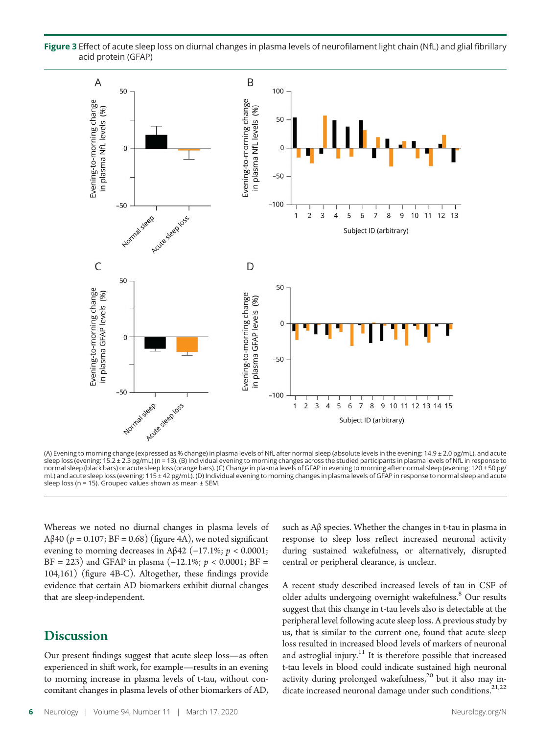Figure 3 Effect of acute sleep loss on diurnal changes in plasma levels of neurofilament light chain (NfL) and glial fibrillary acid protein (GFAP)



(A) Evening to morning change (expressed as % change) in plasma levels of NfL after normal sleep (absolute levels in the evening: 14.9 ± 2.0 pg/mL), and acute sleep loss (evening: 15.2 ± 2.3 pg/mL) (n = 13). (B) Individual evening to morning changes across the studied participants in plasma levels of NfL in response to<br>normal sleep (black bars) or acute sleep loss (orange bars). mL) and acute sleep loss (evening: 115 ± 42 pg/mL). (D) Individual evening to morning changes in plasma levels of GFAP in response to normal sleep and acute sleep loss (n = 15). Grouped values shown as mean  $\pm$  SEM.

Whereas we noted no diurnal changes in plasma levels of Aβ40 ( $p = 0.107$ ; BF = 0.68) (figure 4A), we noted significant evening to morning decreases in Aβ42 ( $-17.1\%$ ;  $p < 0.0001$ ; BF = 223) and GFAP in plasma (-12.1%;  $p < 0.0001$ ; BF = 104,161) (figure 4B-C). Altogether, these findings provide evidence that certain AD biomarkers exhibit diurnal changes that are sleep-independent.

#### **Discussion**

Our present findings suggest that acute sleep loss—as often experienced in shift work, for example—results in an evening to morning increase in plasma levels of t-tau, without concomitant changes in plasma levels of other biomarkers of AD,

6 Neurology | Volume 94, Number 11 | March 17, 2020 [Neurology.org/N](http://neurology.org/n)

such as Aβ species. Whether the changes in t-tau in plasma in response to sleep loss reflect increased neuronal activity during sustained wakefulness, or alternatively, disrupted central or peripheral clearance, is unclear.

A recent study described increased levels of tau in CSF of older adults undergoing overnight wakefulness.<sup>8</sup> Our results suggest that this change in t-tau levels also is detectable at the peripheral level following acute sleep loss. A previous study by us, that is similar to the current one, found that acute sleep loss resulted in increased blood levels of markers of neuronal and astroglial injury.<sup>11</sup> It is therefore possible that increased t-tau levels in blood could indicate sustained high neuronal activity during prolonged wakefulness, $^{20}$  but it also may indicate increased neuronal damage under such conditions.<sup>21,22</sup>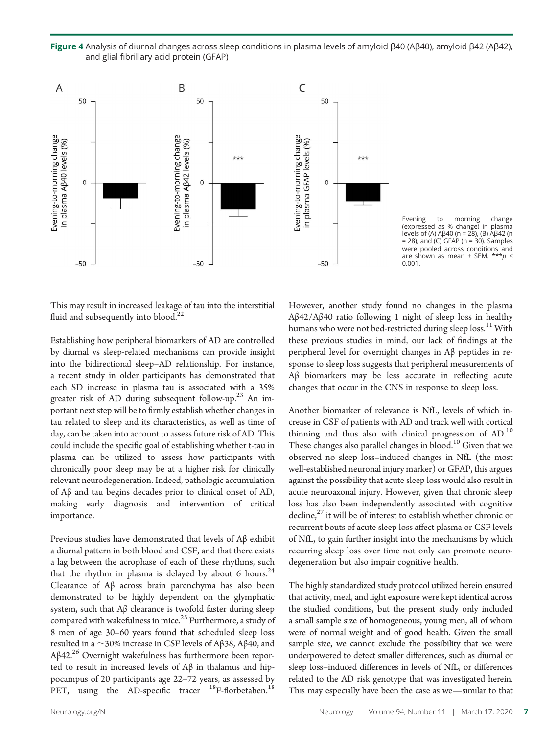Figure 4 Analysis of diurnal changes across sleep conditions in plasma levels of amyloid β40 (Aβ40), amyloid β42 (Aβ42), and glial fibrillary acid protein (GFAP)



This may result in increased leakage of tau into the interstitial fluid and subsequently into blood.<sup>22</sup>

Establishing how peripheral biomarkers of AD are controlled by diurnal vs sleep-related mechanisms can provide insight into the bidirectional sleep–AD relationship. For instance, a recent study in older participants has demonstrated that each SD increase in plasma tau is associated with a 35% greater risk of AD during subsequent follow-up.<sup>23</sup> An important next step will be to firmly establish whether changes in tau related to sleep and its characteristics, as well as time of day, can be taken into account to assess future risk of AD. This could include the specific goal of establishing whether t-tau in plasma can be utilized to assess how participants with chronically poor sleep may be at a higher risk for clinically relevant neurodegeneration. Indeed, pathologic accumulation of Aβ and tau begins decades prior to clinical onset of AD, making early diagnosis and intervention of critical importance.

Previous studies have demonstrated that levels of Aβ exhibit a diurnal pattern in both blood and CSF, and that there exists a lag between the acrophase of each of these rhythms, such that the rhythm in plasma is delayed by about 6 hours.<sup>24</sup> Clearance of Aβ across brain parenchyma has also been demonstrated to be highly dependent on the glymphatic system, such that Aβ clearance is twofold faster during sleep compared with wakefulness in mice.<sup>25</sup> Furthermore, a study of 8 men of age 30–60 years found that scheduled sleep loss resulted in a  ${\sim}30\%$  increase in CSF levels of Aβ38, Aβ40, and Aβ42.<sup>26</sup> Overnight wakefulness has furthermore been reported to result in increased levels of Aβ in thalamus and hippocampus of 20 participants age 22–72 years, as assessed by PET, using the AD-specific tracer  $^{18}$ F-florbetaben.<sup>18</sup>

However, another study found no changes in the plasma Aβ42/Aβ40 ratio following 1 night of sleep loss in healthy humans who were not bed-restricted during sleep loss.<sup>11</sup> With these previous studies in mind, our lack of findings at the peripheral level for overnight changes in Aβ peptides in response to sleep loss suggests that peripheral measurements of Aβ biomarkers may be less accurate in reflecting acute changes that occur in the CNS in response to sleep loss.

Another biomarker of relevance is NfL, levels of which increase in CSF of patients with AD and track well with cortical thinning and thus also with clinical progression of AD.<sup>10</sup> These changes also parallel changes in blood.<sup>10</sup> Given that we observed no sleep loss–induced changes in NfL (the most well-established neuronal injury marker) or GFAP, this argues against the possibility that acute sleep loss would also result in acute neuroaxonal injury. However, given that chronic sleep loss has also been independently associated with cognitive decline, $^{27}$  it will be of interest to establish whether chronic or recurrent bouts of acute sleep loss affect plasma or CSF levels of NfL, to gain further insight into the mechanisms by which recurring sleep loss over time not only can promote neurodegeneration but also impair cognitive health.

The highly standardized study protocol utilized herein ensured that activity, meal, and light exposure were kept identical across the studied conditions, but the present study only included a small sample size of homogeneous, young men, all of whom were of normal weight and of good health. Given the small sample size, we cannot exclude the possibility that we were underpowered to detect smaller differences, such as diurnal or sleep loss–induced differences in levels of NfL, or differences related to the AD risk genotype that was investigated herein. This may especially have been the case as we—similar to that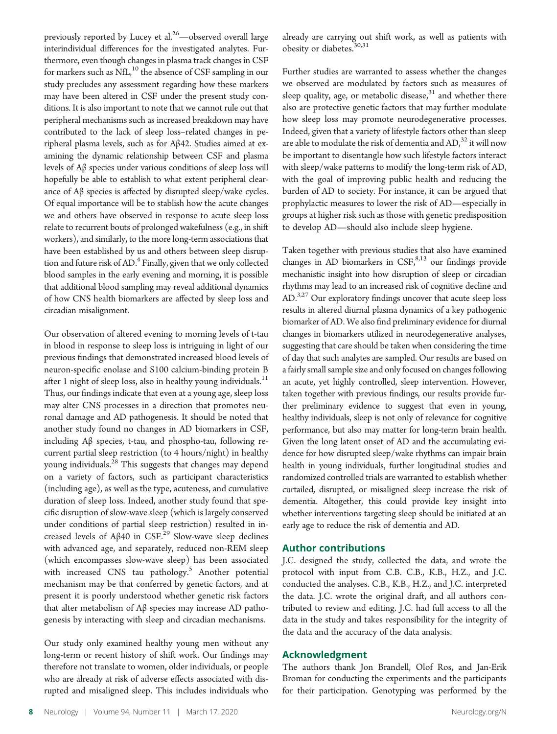previously reported by Lucey et al.<sup>26</sup>—observed overall large interindividual differences for the investigated analytes. Furthermore, even though changes in plasma track changes in CSF for markers such as  $\mathrm{NfL}^{10}$  the absence of CSF sampling in our study precludes any assessment regarding how these markers may have been altered in CSF under the present study conditions. It is also important to note that we cannot rule out that peripheral mechanisms such as increased breakdown may have contributed to the lack of sleep loss–related changes in peripheral plasma levels, such as for Aβ42. Studies aimed at examining the dynamic relationship between CSF and plasma levels of Aβ species under various conditions of sleep loss will hopefully be able to establish to what extent peripheral clearance of Aβ species is affected by disrupted sleep/wake cycles. Of equal importance will be to stablish how the acute changes we and others have observed in response to acute sleep loss relate to recurrent bouts of prolonged wakefulness (e.g., in shift workers), and similarly, to the more long-term associations that have been established by us and others between sleep disruption and future risk of AD.<sup>4</sup> Finally, given that we only collected blood samples in the early evening and morning, it is possible that additional blood sampling may reveal additional dynamics of how CNS health biomarkers are affected by sleep loss and circadian misalignment.

Our observation of altered evening to morning levels of t-tau in blood in response to sleep loss is intriguing in light of our previous findings that demonstrated increased blood levels of neuron-specific enolase and S100 calcium-binding protein B after 1 night of sleep loss, also in healthy young individuals.<sup>11</sup> Thus, our findings indicate that even at a young age, sleep loss may alter CNS processes in a direction that promotes neuronal damage and AD pathogenesis. It should be noted that another study found no changes in AD biomarkers in CSF, including Aβ species, t-tau, and phospho-tau, following recurrent partial sleep restriction (to 4 hours/night) in healthy young individuals.<sup>28</sup> This suggests that changes may depend on a variety of factors, such as participant characteristics (including age), as well as the type, acuteness, and cumulative duration of sleep loss. Indeed, another study found that specific disruption of slow-wave sleep (which is largely conserved under conditions of partial sleep restriction) resulted in increased levels of  $Aβ40$  in CSF.<sup>29</sup> Slow-wave sleep declines with advanced age, and separately, reduced non-REM sleep (which encompasses slow-wave sleep) has been associated with increased CNS tau pathology.<sup>5</sup> Another potential mechanism may be that conferred by genetic factors, and at present it is poorly understood whether genetic risk factors that alter metabolism of Aβ species may increase AD pathogenesis by interacting with sleep and circadian mechanisms.

Our study only examined healthy young men without any long-term or recent history of shift work. Our findings may therefore not translate to women, older individuals, or people who are already at risk of adverse effects associated with disrupted and misaligned sleep. This includes individuals who

already are carrying out shift work, as well as patients with obesity or diabetes.<sup>30,31</sup>

Further studies are warranted to assess whether the changes we observed are modulated by factors such as measures of sleep quality, age, or metabolic disease, $31$  and whether there also are protective genetic factors that may further modulate how sleep loss may promote neurodegenerative processes. Indeed, given that a variety of lifestyle factors other than sleep are able to modulate the risk of dementia and  $AD<sub>1</sub><sup>32</sup>$  it will now be important to disentangle how such lifestyle factors interact with sleep/wake patterns to modify the long-term risk of AD, with the goal of improving public health and reducing the burden of AD to society. For instance, it can be argued that prophylactic measures to lower the risk of AD—especially in groups at higher risk such as those with genetic predisposition to develop AD—should also include sleep hygiene.

Taken together with previous studies that also have examined changes in AD biomarkers in  $CSF, ^{8,13}$  our findings provide mechanistic insight into how disruption of sleep or circadian rhythms may lead to an increased risk of cognitive decline and AD.<sup>3,27</sup> Our exploratory findings uncover that acute sleep loss results in altered diurnal plasma dynamics of a key pathogenic biomarker of AD. We also find preliminary evidence for diurnal changes in biomarkers utilized in neurodegenerative analyses, suggesting that care should be taken when considering the time of day that such analytes are sampled. Our results are based on a fairly small sample size and only focused on changes following an acute, yet highly controlled, sleep intervention. However, taken together with previous findings, our results provide further preliminary evidence to suggest that even in young, healthy individuals, sleep is not only of relevance for cognitive performance, but also may matter for long-term brain health. Given the long latent onset of AD and the accumulating evidence for how disrupted sleep/wake rhythms can impair brain health in young individuals, further longitudinal studies and randomized controlled trials are warranted to establish whether curtailed, disrupted, or misaligned sleep increase the risk of dementia. Altogether, this could provide key insight into whether interventions targeting sleep should be initiated at an early age to reduce the risk of dementia and AD.

#### Author contributions

J.C. designed the study, collected the data, and wrote the protocol with input from C.B. C.B., K.B., H.Z., and J.C. conducted the analyses. C.B., K.B., H.Z., and J.C. interpreted the data. J.C. wrote the original draft, and all authors contributed to review and editing. J.C. had full access to all the data in the study and takes responsibility for the integrity of the data and the accuracy of the data analysis.

#### Acknowledgment

The authors thank Jon Brandell, Olof Ros, and Jan-Erik Broman for conducting the experiments and the participants for their participation. Genotyping was performed by the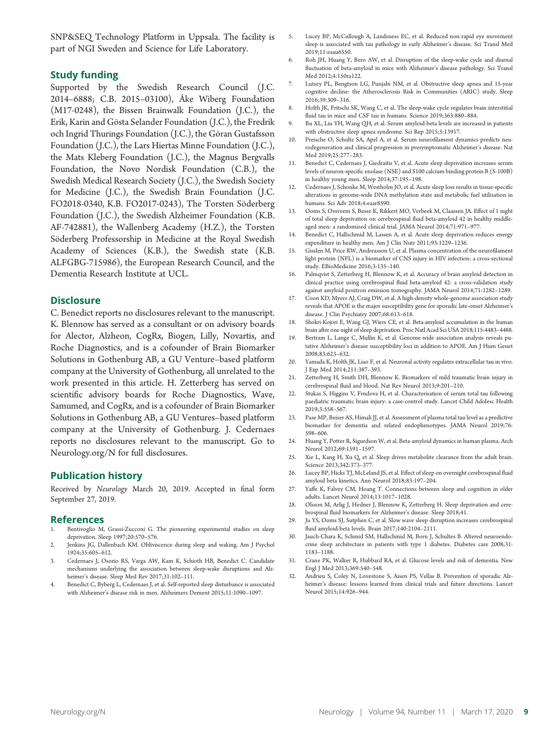SNP&SEQ Technology Platform in Uppsala. The facility is part of NGI Sweden and Science for Life Laboratory.

#### Study funding

Supported by the Swedish Research Council (J.C. 2014–6888; C.B. 2015–03100), Åke Wiberg Foundation (M17-0248), the Bissen Brainwalk Foundation (J.C.), the Erik, Karin and Gösta Selander Foundation (J.C.), the Fredrik och Ingrid Thurings Foundation (J.C.), the Göran Gustafsson Foundation (J.C.), the Lars Hiertas Minne Foundation (J.C.), the Mats Kleberg Foundation (J.C.), the Magnus Bergvalls Foundation, the Novo Nordisk Foundation (C.B.), the Swedish Medical Research Society (J.C.), the Swedish Society for Medicine (J.C.), the Swedish Brain Foundation (J.C. FO2018-0340, K.B. FO2017-0243), The Torsten Söderberg Foundation (J.C.), the Swedish Alzheimer Foundation (K.B. AF-742881), the Wallenberg Academy (H.Z.), the Torsten Söderberg Professorship in Medicine at the Royal Swedish Academy of Sciences (K.B.), the Swedish state (K.B. ALFGBG-715986), the European Research Council, and the Dementia Research Institute at UCL.

#### **Disclosure**

C. Benedict reports no disclosures relevant to the manuscript. K. Blennow has served as a consultant or on advisory boards for Alector, Alzheon, CogRx, Biogen, Lilly, Novartis, and Roche Diagnostics, and is a cofounder of Brain Biomarker Solutions in Gothenburg AB, a GU Venture–based platform company at the University of Gothenburg, all unrelated to the work presented in this article. H. Zetterberg has served on scientific advisory boards for Roche Diagnostics, Wave, Samumed, and CogRx, and is a cofounder of Brain Biomarker Solutions in Gothenburg AB, a GU Ventures–based platform company at the University of Gothenburg. J. Cedernaes reports no disclosures relevant to the manuscript. Go to [Neurology.org/N](https://n.neurology.org/lookup/doi/10.1212/WNL.0000000000008866) for full disclosures.

#### Publication history

Received by Neurology March 20, 2019. Accepted in final form September 27, 2019.

#### References

- 1. Bentivoglio M, Grassi-Zucconi G. The pioneering experimental studies on sleep deprivation. Sleep 1997;20:570–576.
- Jenkins JG, Dallenbach KM. Obliviscence during sleep and waking. Am J Psychol 1924;35:605–612.
- 3. Cedernaes J, Osorio RS, Varga AW, Kam K, Schioth HB, Benedict C. Candidate mechanisms underlying the association between sleep-wake disruptions and Alzheimer's disease. Sleep Med Rev 2017;31:102–111.
- Benedict C, Byberg L, Cedernaes J, et al. Self-reported sleep disturbance is associated with Alzheimer's disease risk in men. Alzheimers Dement 2015;11:1090–1097.
- Lucey BP, McCullough A, Landsness EC, et al. Reduced non-rapid eye movement sleep is associated with tau pathology in early Alzheimer's disease. Sci Transl Med 2019;11:eaau6550.
- 6. Roh JH, Huang Y, Bero AW, et al. Disruption of the sleep-wake cycle and diurnal fluctuation of beta-amyloid in mice with Alzheimer's disease pathology. Sci Transl Med 2012;4:150ra122.
- 7. Lutsey PL, Bengtson LG, Punjabi NM, et al. Obstructive sleep apnea and 15-year cognitive decline: the Atherosclerosis Risk in Communities (ARIC) study. Sleep 2016;39:309–316.
- 8. Holth JK, Fritschi SK, Wang C, et al. The sleep-wake cycle regulates brain interstitial fluid tau in mice and CSF tau in humans. Science 2019;363:880–884.
- 9. Bu XL, Liu YH, Wang QH, et al. Serum amyloid-beta levels are increased in patients with obstructive sleep apnea syndrome. Sci Rep 2015;5:13917.
- 10. Preische O, Schultz SA, Apel A, et al. Serum neurofilament dynamics predicts neurodegeneration and clinical progression in presymptomatic Alzheimer's disease. Nat Med 2019;25:277–283.
- 11. Benedict C, Cedernaes J, Giedraitis V, et al. Acute sleep deprivation increases serum levels of neuron-specific enolase (NSE) and S100 calcium binding protein B (S-100B) in healthy young men. Sleep 2014;37:195–198.
- 12. Cedernaes J, Schonke M, Westholm JO, et al. Acute sleep loss results in tissue-specific alterations in genome-wide DNA methylation state and metabolic fuel utilization in humans. Sci Adv 2018;4:eaar8590.
- 13. Ooms S, Overeem S, Besse K, Rikkert MO, Verbeek M, Claassen JA. Effect of 1 night of total sleep deprivation on cerebrospinal fluid beta-amyloid 42 in healthy middleaged men: a randomized clinical trial. JAMA Neurol 2014;71:971–977.
- 14. Benedict C, Hallschmid M, Lassen A, et al. Acute sleep deprivation reduces energy expenditure in healthy men. Am J Clin Nutr 2011;93:1229–1236.
- 15. Gisslen M, Price RW, Andreasson U, et al. Plasma concentration of the neurofilament light protein (NFL) is a biomarker of CNS injury in HIV infection: a cross-sectional study. EBioMedicine 2016;3:135–140.
- 16. Palmqvist S, Zetterberg H, Blennow K, et al. Accuracy of brain amyloid detection in clinical practice using cerebrospinal fluid beta-amyloid 42: a cross-validation study against amyloid positron emission tomography. JAMA Neurol 2014;71:1282–1289.
- 17. Coon KD, Myers AJ, Craig DW, et al. A high-density whole-genome association study reveals that APOE is the major susceptibility gene for sporadic late-onset Alzheimer's disease. J Clin Psychiatry 2007;68:613–618.
- 18. Shokri-Kojori E, Wang GJ, Wiers CE, et al. Beta-amyloid accumulation in the human brain after one night of sleep deprivation. Proc Natl Acad Sci USA 2018;115:4483–4488.
- 19. Bertram L, Lange C, Mullin K, et al. Genome-wide association analysis reveals putative Alzheimer's disease susceptibility loci in addition to APOE. Am J Hum Genet 2008;83:623–632.
- 20. Yamada K, Holth JK, Liao F, et al. Neuronal activity regulates extracellular tau in vivo. J Exp Med 2014;211:387–393.
- 21. Zetterberg H, Smith DH, Blennow K. Biomarkers of mild traumatic brain injury in cerebrospinal fluid and blood. Nat Rev Neurol 2013;9:201–210.
- Stukas S, Higgins V, Frndova H, et al. Characterisation of serum total tau following paediatric traumatic brain injury: a case-control study. Lancet Child Adolesc Health 2019;3:558–567.
- 23. Pase MP, Beiser AS, Himali JJ, et al. Assessment of plasma total tau level as a predictive biomarker for dementia and related endophenotypes. JAMA Neurol 2019;76: 598–606.
- 24. Huang Y, Potter R, Sigurdson W, et al. Beta-amyloid dynamics in human plasma. Arch Neurol 2012;69:1591–1597.
- 25. Xie L, Kang H, Xu Q, et al. Sleep drives metabolite clearance from the adult brain. Science 2013;342:373–377.
- 26. Lucey BP, Hicks TJ, McLeland JS, et al. Effect of sleep on overnight cerebrospinal fluid amyloid beta kinetics. Ann Neurol 2018;83:197–204.
- 27. Yaffe K, Falvey CM, Hoang T. Connections between sleep and cognition in older adults. Lancet Neurol 2014;13:1017–1028.
- 28. Olsson M, Arlig J, Hedner J, Blennow K, Zetterberg H. Sleep deprivation and cerebrospinal fluid biomarkers for Alzheimer's disease. Sleep 2018;41.
- 29. Ju YS, Ooms SJ, Sutphen C, et al. Slow wave sleep disruption increases cerebrospinal fluid amyloid-beta levels. Brain 2017;140:2104–2111.
- 30. Jauch-Chara K, Schmid SM, Hallschmid M, Born J, Schultes B. Altered neuroendocrine sleep architecture in patients with type 1 diabetes. Diabetes care 2008;31: 1183–1188.
- 31. Crane PK, Walker R, Hubbard RA, et al. Glucose levels and risk of dementia. New Engl J Med 2013;369:540–548.
- 32. Andrieu S, Coley N, Lovestone S, Aisen PS, Vellas B. Prevention of sporadic Alzheimer's disease: lessons learned from clinical trials and future directions. Lancet Neurol 2015;14:926–944.